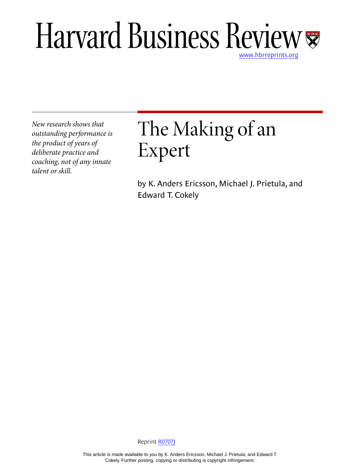# Harvard Business Review

*New research shows that outstanding performance is the product of years of deliberate practice and coaching, not of any innate talent or skill.*

# The Making of an Expert

by K. Anders Ericsson, Michael J. Prietula, and Edward T. Cokely

Reprint [R0707J](http://harvardbusinessonline.hbsp.harvard.edu/relay.jhtml?name=itemdetail&referral=4320&id=R0707J)

This article is made available to you by K. Anders Ericsson, Michael J. Prietula, and Edward T. Cokely. Further posting, copying or distributing is copyright infringement.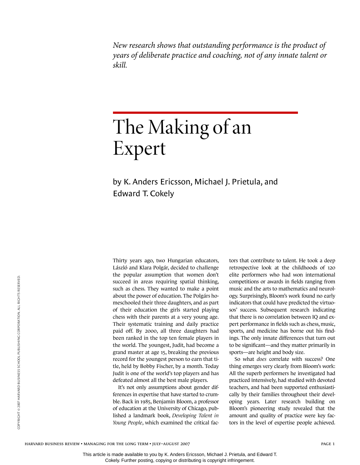*New research shows that outstanding performance is the product of years of deliberate practice and coaching, not of any innate talent or skill.*

# The Making of an Expert

by K. Anders Ericsson, Michael J. Prietula, and Edward T. Cokely

Thirty years ago, two Hungarian educators, László and Klara Polgár, decided to challenge the popular assumption that women don't succeed in areas requiring spatial thinking, such as chess. They wanted to make a point about the power of education. The Polgárs homeschooled their three daughters, and as part of their education the girls started playing chess with their parents at a very young age. Their systematic training and daily practice paid off. By 2000, all three daughters had been ranked in the top ten female players in the world. The youngest, Judit, had become a grand master at age 15, breaking the previous record for the youngest person to earn that title, held by Bobby Fischer, by a month. Today Judit is one of the world's top players and has defeated almost all the best male players.

It's not only assumptions about gender differences in expertise that have started to crumble. Back in 1985, Benjamin Bloom, a professor of education at the University of Chicago, published a landmark book, *Developing Talent in Young People*, which examined the critical factors that contribute to talent. He took a deep retrospective look at the childhoods of 120 elite performers who had won international competitions or awards in fields ranging from music and the arts to mathematics and neurology. Surprisingly, Bloom's work found no early indicators that could have predicted the virtuosos' success. Subsequent research indicating that there is no correlation between IQ and expert performance in fields such as chess, music, sports, and medicine has borne out his findings. The only innate differences that turn out to be significant—and they matter primarily in sports—are height and body size.

So what *does* correlate with success? One thing emerges very clearly from Bloom's work: All the superb performers he investigated had practiced intensively, had studied with devoted teachers, and had been supported enthusiastically by their families throughout their developing years. Later research building on Bloom's pioneering study revealed that the amount and quality of practice were key factors in the level of expertise people achieved.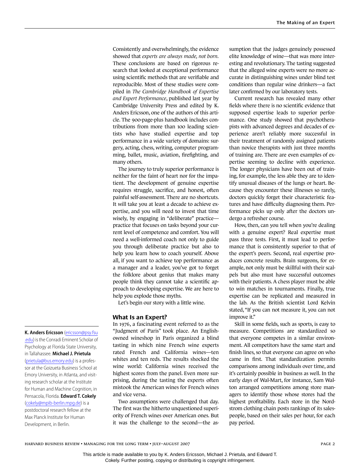Consistently and overwhelmingly, the evidence showed that *experts are always made, not born*. These conclusions are based on rigorous research that looked at exceptional performance using scientific methods that are verifiable and reproducible. Most of these studies were compiled in *The Cambridge Handbook of Expertise and Expert Performance*, published last year by Cambridge University Press and edited by K. Anders Ericsson, one of the authors of this article. The 900-page-plus handbook includes contributions from more than 100 leading scientists who have studied expertise and top performance in a wide variety of domains: surgery, acting, chess, writing, computer programming, ballet, music, aviation, firefighting, and many others.

The journey to truly superior performance is neither for the faint of heart nor for the impatient. The development of genuine expertise requires struggle, sacrifice, and honest, often painful self-assessment. There are no shortcuts. It will take you at least a decade to achieve expertise, and you will need to invest that time wisely, by engaging in "deliberate" practice practice that focuses on tasks beyond your current level of competence and comfort. You will need a well-informed coach not only to guide you through deliberate practice but also to help you learn how to coach yourself. Above all, if you want to achieve top performance as a manager and a leader, you've got to forget the folklore about genius that makes many people think they cannot take a scientific approach to developing expertise. We are here to help you explode those myths.

Let's begin our story with a little wine.

#### **What Is an Expert?**

In 1976, a fascinating event referred to as the "Judgment of Paris" took place. An Englishowned wineshop in Paris organized a blind tasting in which nine French wine experts rated French and California wines—ten whites and ten reds. The results shocked the wine world: California wines received the highest scores from the panel. Even more surprising, during the tasting the experts often mistook the American wines for French wines and vice versa.

Two assumptions were challenged that day. The first was the hitherto unquestioned superiority of French wines over American ones. But it was the challenge to the second—the assumption that the judges genuinely possessed elite knowledge of wine—that was more interesting and revolutionary. The tasting suggested that the alleged wine experts were no more accurate in distinguishing wines under blind test conditions than regular wine drinkers—a fact later confirmed by our laboratory tests.

Current research has revealed many other fields where there is no scientific evidence that supposed expertise leads to superior performance. One study showed that psychotherapists with advanced degrees and decades of experience aren't reliably more successful in their treatment of randomly assigned patients than novice therapists with just three months of training are. There are even examples of expertise seeming to decline with experience. The longer physicians have been out of training, for example, the less able they are to identify unusual diseases of the lungs or heart. Because they encounter these illnesses so rarely, doctors quickly forget their characteristic features and have difficulty diagnosing them. Performance picks up only after the doctors undergo a refresher course.

How, then, can you tell when you're dealing with a genuine expert? Real expertise must pass three tests. First, it must lead to performance that is consistently superior to that of the expert's peers. Second, real expertise produces concrete results. Brain surgeons, for example, not only must be skillful with their scalpels but also must have successful outcomes with their patients. A chess player must be able to win matches in tournaments. Finally, true expertise can be replicated and measured in the lab. As the British scientist Lord Kelvin stated, "If you can not measure it, you can not improve it."

Skill in some fields, such as sports, is easy to measure. Competitions are standardized so that everyone competes in a similar environment. All competitors have the same start and finish lines, so that everyone can agree on who came in first. That standardization permits comparisons among individuals over time, and it's certainly possible in business as well. In the early days of Wal-Mart, for instance, Sam Walton arranged competitions among store managers to identify those whose stores had the highest profitability. Each store in the Nordstrom clothing chain posts rankings of its salespeople, based on their sales per hour, for each pay period.

**K. Anders Ericsson** ([ericsson@psy.fsu](mailto:ericsson@psy.fsu.edu) [.edu](mailto:ericsson@psy.fsu.edu)) is the Conradi Eminent Scholar of Psychology at Florida State University, in Tallahassee. **Michael J. Prietula** [\(prietula@bus.emory.edu](mailto:prietula@bus.emory.edu)) is a professor at the Goizueta Business School at Emory University, in Atlanta, and visiting research scholar at the Institute for Human and Machine Cognition, in Pensacola, Florida. **Edward T. Cokely** [\(cokely@mpib-berlin.mpg.de](mailto:cokely@mpib-berlin.mpg.de)) is a postdoctoral research fellow at the Max Planck Institute for Human

Development, in Berlin.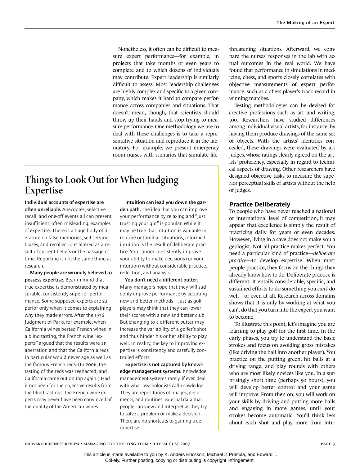Nonetheless, it often can be difficult to measure expert performance—for example, in projects that take months or even years to complete and to which dozens of individuals may contribute. Expert leadership is similarly difficult to assess. Most leadership challenges are highly complex and specific to a given company, which makes it hard to compare performance across companies and situations. That doesn't mean, though, that scientists should throw up their hands and stop trying to measure performance. One methodology we use to deal with these challenges is to take a representative situation and reproduce it in the laboratory. For example, we present emergency room nurses with scenarios that simulate life-

### **Things to Look Out for When Judging Expertise**

**Individual accounts of expertise are often unreliable.** Anecdotes, selective recall, and one-off events all can present insufficient, often misleading, examples of expertise. There is a huge body of literature on false memories, self-serving biases, and recollections altered as a result of current beliefs or the passage of time. Reporting is not the same thing as research.

**Many people are wrongly believed to possess expertise.** Bear in mind that true expertise is demonstrated by measurable, consistently superior performance. Some supposed experts are superior only when it comes to explaining why they made errors. After the 1976 Judgment of Paris, for example, when California wines bested French wines in a blind tasting, the French wine "experts" argued that the results were an aberration and that the California reds in particular would never age as well as the famous French reds. (In 2006, the tasting of the reds was reenacted, and California came out on top again.) Had it not been for the objective results from the blind tastings, the French wine experts may never have been convinced of the quality of the American wines.

**Intuition can lead you down the gar-**

**den path.** The idea that you can improve your performance by relaxing and "just trusting your gut" is popular. While it may be true that intuition is valuable in routine or familiar situations, informed intuition is the result of deliberate practice. You cannot consistently improve your ability to make decisions (or your intuition) without considerable practice, reflection, and analysis.

**You don't need a different putter.**  Many managers hope that they will suddenly improve performance by adopting new and better methods—just as golf players may think that they can lower their scores with a new and better club. But changing to a different putter may increase the variability of a golfer's shot and thus hinder his or her ability to play well. In reality, the key to improving expertise is consistency and carefully controlled efforts.

**Expertise is not captured by knowledge management systems.** Knowledge management systems rarely, if ever, deal with what psychologists call knowledge. They are repositories of images, documents, and routines: external data that people can view and interpret as they try to solve a problem or make a decision. There are no shortcuts to gaining true expertise.

threatening situations. Afterward, we compare the nurses' responses in the lab with actual outcomes in the real world. We have found that performance in simulations in medicine, chess, and sports closely correlates with objective measurements of expert performance, such as a chess player's track record in winning matches.

Testing methodologies can be devised for creative professions such as art and writing, too. Researchers have studied differences among individual visual artists, for instance, by having them produce drawings of the same set of objects. With the artists' identities concealed, these drawings were evaluated by art judges, whose ratings clearly agreed on the artists' proficiency, especially in regard to technical aspects of drawing. Other researchers have designed objective tasks to measure the superior perceptual skills of artists without the help of judges.

#### **Practice Deliberately**

To people who have never reached a national or international level of competition, it may appear that excellence is simply the result of practicing daily for years or even decades. However, living in a cave does not make you a geologist. Not all practice makes perfect. You need a particular kind of practice—*deliberate practice*—to develop expertise. When most people practice, they focus on the things they already know how to do. Deliberate practice is different. It entails considerable, specific, and sustained efforts to do something you *can't* do well—or even at all. Research across domains shows that it is only by working at what you can't do that you turn into the expert you want to become.

To illustrate this point, let's imagine you are learning to play golf for the first time. In the early phases, you try to understand the basic strokes and focus on avoiding gross mistakes (like driving the ball into another player). You practice on the putting green, hit balls at a driving range, and play rounds with others who are most likely novices like you. In a surprisingly short time (perhaps 50 hours), you will develop better control and your game will improve. From then on, you will work on your skills by driving and putting more balls and engaging in more games, until your strokes become automatic: You'll think less about each shot and play more from intu-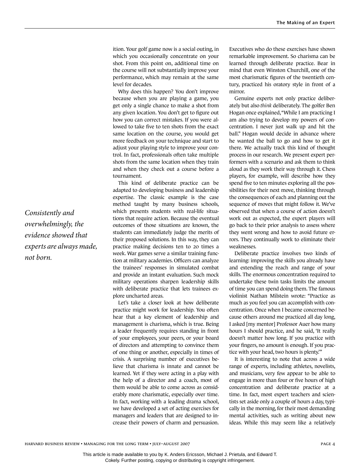ition. Your golf game now is a social outing, in which you occasionally concentrate on your shot. From this point on, additional time on the course will not substantially improve your performance, which may remain at the same level for decades.

Why does this happen? You don't improve because when you are playing a game, you get only a single chance to make a shot from any given location. You don't get to figure out how you can correct mistakes. If you were allowed to take five to ten shots from the exact same location on the course, you would get more feedback on your technique and start to adjust your playing style to improve your control. In fact, professionals often take multiple shots from the same location when they train and when they check out a course before a tournament.

This kind of deliberate practice can be adapted to developing business and leadership expertise. The classic example is the case method taught by many business schools, which presents students with real-life situations that require action. Because the eventual outcomes of those situations are known, the students can immediately judge the merits of their proposed solutions. In this way, they can practice making decisions ten to 20 times a week. War games serve a similar training function at military academies. Officers can analyze the trainees' responses in simulated combat and provide an instant evaluation. Such mock military operations sharpen leadership skills with deliberate practice that lets trainees explore uncharted areas.

Let's take a closer look at how deliberate practice might work for leadership. You often hear that a key element of leadership and management is charisma, which is true. Being a leader frequently requires standing in front of your employees, your peers, or your board of directors and attempting to convince them of one thing or another, especially in times of crisis. A surprising number of executives believe that charisma is innate and cannot be learned. Yet if they were acting in a play with the help of a director and a coach, most of them would be able to come across as considerably more charismatic, especially over time. In fact, working with a leading drama school, we have developed a set of acting exercises for managers and leaders that are designed to increase their powers of charm and persuasion.

Executives who do these exercises have shown remarkable improvement. So charisma can be learned through deliberate practice. Bear in mind that even Winston Churchill, one of the most charismatic figures of the twentieth century, practiced his oratory style in front of a mirror.

Genuine experts not only practice deliberately but also *think* deliberately. The golfer Ben Hogan once explained, "While I am practicing I am also trying to develop my powers of concentration. I never just walk up and hit the ball." Hogan would decide in advance where he wanted the ball to go and how to get it there. We actually track this kind of thought process in our research. We present expert performers with a scenario and ask them to think aloud as they work their way through it. Chess players, for example, will describe how they spend five to ten minutes exploring all the possibilities for their next move, thinking through the consequences of each and planning out the sequence of moves that might follow it. We've observed that when a course of action doesn't work out as expected, the expert players will go back to their prior analysis to assess where they went wrong and how to avoid future errors. They continually work to eliminate their weaknesses.

Deliberate practice involves two kinds of learning: improving the skills you already have and extending the reach and range of your skills. The enormous concentration required to undertake these twin tasks limits the amount of time you can spend doing them. The famous violinist Nathan Milstein wrote: "Practice as much as you feel you can accomplish with concentration. Once when I became concerned because others around me practiced all day long, I asked [my mentor] Professor Auer how many hours I should practice, and he said, 'It really doesn't matter how long. If you practice with your fingers, no amount is enough. If you practice with your head, two hours is plenty.'"

It is interesting to note that across a wide range of experts, including athletes, novelists, and musicians, very few appear to be able to engage in more than four or five hours of high concentration and deliberate practice at a time. In fact, most expert teachers and scientists set aside only a couple of hours a day, typically in the morning, for their most demanding mental activities, such as writing about new ideas. While this may seem like a relatively

*Consistently and overwhelmingly, the evidence showed that experts are always made, not born.*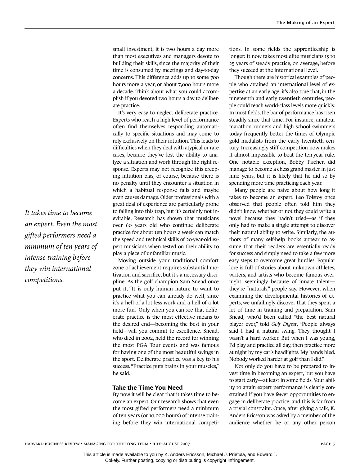small investment, it is two hours a day more than most executives and managers devote to building their skills, since the majority of their time is consumed by meetings and day-to-day concerns. This difference adds up to some 700 hours more a year, or about 7,000 hours more a decade. Think about what you could accomplish if you devoted two hours a day to deliberate practice.

It's very easy to neglect deliberate practice. Experts who reach a high level of performance often find themselves responding automatically to specific situations and may come to rely exclusively on their intuition. This leads to difficulties when they deal with atypical or rare cases, because they've lost the ability to analyze a situation and work through the right response. Experts may not recognize this creeping intuition bias, of course, because there is no penalty until they encounter a situation in which a habitual response fails and maybe even causes damage. Older professionals with a great deal of experience are particularly prone to falling into this trap, but it's certainly not inevitable. Research has shown that musicians over 60 years old who continue deliberate practice for about ten hours a week can match the speed and technical skills of 20-year-old expert musicians when tested on their ability to play a piece of unfamiliar music.

Moving outside your traditional comfort zone of achievement requires substantial motivation and sacrifice, but it's a necessary discipline. As the golf champion Sam Snead once put it, "It is only human nature to want to practice what you can already do well, since it's a hell of a lot less work and a hell of a lot more fun." Only when you can see that deliberate practice is the most effective means to the desired end—becoming the best in your field—will you commit to excellence. Snead, who died in 2002, held the record for winning the most PGA Tour events and was famous for having one of the most beautiful swings in the sport. Deliberate practice was a key to his success. "Practice puts brains in your muscles," he said.

#### **Take the Time You Need**

By now it will be clear that it takes time to become an expert. Our research shows that even the most gifted performers need a minimum of ten years (or 10,000 hours) of intense training before they win international competitions. In some fields the apprenticeship is longer: It now takes most elite musicians 15 to 25 years of steady practice, on average, before they succeed at the international level.

Though there are historical examples of people who attained an international level of expertise at an early age, it's also true that, in the nineteenth and early twentieth centuries, people could reach world-class levels more quickly. In most fields, the bar of performance has risen steadily since that time. For instance, amateur marathon runners and high school swimmers today frequently better the times of Olympic gold medalists from the early twentieth century. Increasingly stiff competition now makes it almost impossible to beat the ten-year rule. One notable exception, Bobby Fischer, did manage to become a chess grand master in just nine years, but it is likely that he did so by spending more time practicing each year.

Many people are naive about how long it takes to become an expert. Leo Tolstoy once observed that people often told him they didn't know whether or not they could write a novel because they hadn't tried—as if they only had to make a single attempt to discover their natural ability to write. Similarly, the authors of many self-help books appear to assume that their readers are essentially ready for success and simply need to take a few more easy steps to overcome great hurdles. Popular lore is full of stories about unknown athletes, writers, and artists who become famous overnight, seemingly because of innate talent they're "naturals," people say. However, when examining the developmental histories of experts, we unfailingly discover that they spent a lot of time in training and preparation. Sam Snead, who'd been called "the best natural player ever," told *Golf Digest*, "People always said I had a natural swing. They thought I wasn't a hard worker. But when I was young, I'd play and practice all day, then practice more at night by my car's headlights. My hands bled. Nobody worked harder at golf than I did."

Not only do you have to be prepared to invest time in becoming an expert, but you have to start early—at least in some fields. Your ability to attain expert performance is clearly constrained if you have fewer opportunities to engage in deliberate practice, and this is far from a trivial constraint. Once, after giving a talk, K. Anders Ericsson was asked by a member of the audience whether he or any other person

*It takes time to become an expert. Even the most gifted performers need a minimum of ten years of intense training before they win international competitions.*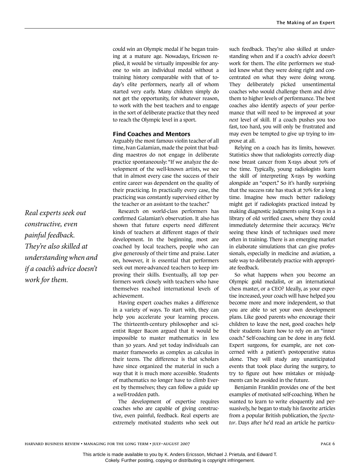could win an Olympic medal if he began training at a mature age. Nowadays, Ericsson replied, it would be virtually impossible for anyone to win an individual medal without a training history comparable with that of today's elite performers, nearly all of whom started very early. Many children simply do not get the opportunity, for whatever reason, to work with the best teachers and to engage in the sort of deliberate practice that they need to reach the Olympic level in a sport.

#### **Find Coaches and Mentors**

Arguably the most famous violin teacher of all time, Ivan Galamian, made the point that budding maestros do not engage in deliberate practice spontaneously: "If we analyze the development of the well-known artists, we see that in almost every case the success of their entire career was dependent on the quality of their practicing. In practically every case, the practicing was constantly supervised either by the teacher or an assistant to the teacher."

Research on world-class performers has confirmed Galamian's observation. It also has shown that future experts need different kinds of teachers at different stages of their development. In the beginning, most are coached by local teachers, people who can give generously of their time and praise. Later on, however, it is essential that performers seek out more-advanced teachers to keep improving their skills. Eventually, all top performers work closely with teachers who have themselves reached international levels of achievement.

Having expert coaches makes a difference in a variety of ways. To start with, they can help you accelerate your learning process. The thirteenth-century philosopher and scientist Roger Bacon argued that it would be impossible to master mathematics in less than 30 years. And yet today individuals can master frameworks as complex as calculus in their teens. The difference is that scholars have since organized the material in such a way that it is much more accessible. Students of mathematics no longer have to climb Everest by themselves; they can follow a guide up a well-trodden path.

The development of expertise requires coaches who are capable of giving constructive, even painful, feedback. Real experts are extremely motivated students who seek out such feedback. They're also skilled at understanding when and if a coach's advice doesn't work for them. The elite performers we studied knew what they were doing right and concentrated on what they were doing wrong. They deliberately picked unsentimental coaches who would challenge them and drive them to higher levels of performance. The best coaches also identify aspects of your performance that will need to be improved at your *next* level of skill. If a coach pushes you too fast, too hard, you will only be frustrated and may even be tempted to give up trying to improve at all.

Relying on a coach has its limits, however. Statistics show that radiologists correctly diagnose breast cancer from X-rays about 70% of the time. Typically, young radiologists learn the skill of interpreting X-rays by working alongside an "expert." So it's hardly surprising that the success rate has stuck at 70% for a long time. Imagine how much better radiology might get if radiologists practiced instead by making diagnostic judgments using X-rays in a library of old verified cases, where they could immediately determine their accuracy. We're seeing these kinds of techniques used more often in training. There is an emerging market in elaborate simulations that can give professionals, especially in medicine and aviation, a safe way to deliberately practice with appropriate feedback.

So what happens when you become an Olympic gold medalist, or an international chess master, or a CEO? Ideally, as your expertise increased, your coach will have helped you become more and more independent, so that you are able to set your own development plans. Like good parents who encourage their children to leave the nest, good coaches help their students learn how to rely on an "inner coach." Self-coaching can be done in any field. Expert surgeons, for example, are not concerned with a patient's postoperative status alone. They will study any unanticipated events that took place during the surgery, to try to figure out how mistakes or misjudgments can be avoided in the future.

Benjamin Franklin provides one of the best examples of motivated self-coaching. When he wanted to learn to write eloquently and persuasively, he began to study his favorite articles from a popular British publication, the *Spectator*. Days after he'd read an article he particu-

*Real experts seek out constructive, even painful feedback. They're also skilled at understanding when and if a coach's advice doesn't work for them.*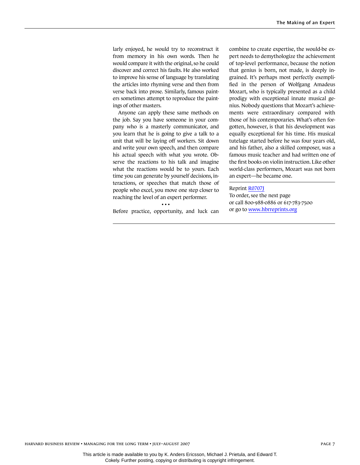larly enjoyed, he would try to reconstruct it from memory in his own words. Then he would compare it with the original, so he could discover and correct his faults. He also worked to improve his sense of language by translating the articles into rhyming verse and then from verse back into prose. Similarly, famous painters sometimes attempt to reproduce the paintings of other masters.

Anyone can apply these same methods on the job. Say you have someone in your company who is a masterly communicator, and you learn that he is going to give a talk to a unit that will be laying off workers. Sit down and write your own speech, and then compare his actual speech with what you wrote. Observe the reactions to his talk and imagine what the reactions would be to yours. Each time you can generate by yourself decisions, interactions, or speeches that match those of people who excel, you move one step closer to reaching the level of an expert performer.

• • • Before practice, opportunity, and luck can combine to create expertise, the would-be expert needs to demythologize the achievement of top-level performance, because the notion that genius is born, not made, is deeply ingrained. It's perhaps most perfectly exemplified in the person of Wolfgang Amadeus Mozart, who is typically presented as a child prodigy with exceptional innate musical genius. Nobody questions that Mozart's achievements were extraordinary compared with those of his contemporaries. What's often forgotten, however, is that his development was equally exceptional for his time. His musical tutelage started before he was four years old, and his father, also a skilled composer, was a famous music teacher and had written one of the first books on violin instruction. Like other world-class performers, Mozart was not born an expert—he became one.

#### Reprint [R0707J](http://harvardbusinessonline.hbsp.harvard.edu/relay.jhtml?name=itemdetail&referral=4320&id=R0707J)

To order, see the next page or call 800-988-0886 or 617-783-7500 or go to [www.hbrreprints.org](http://www.hbrreprints.org)